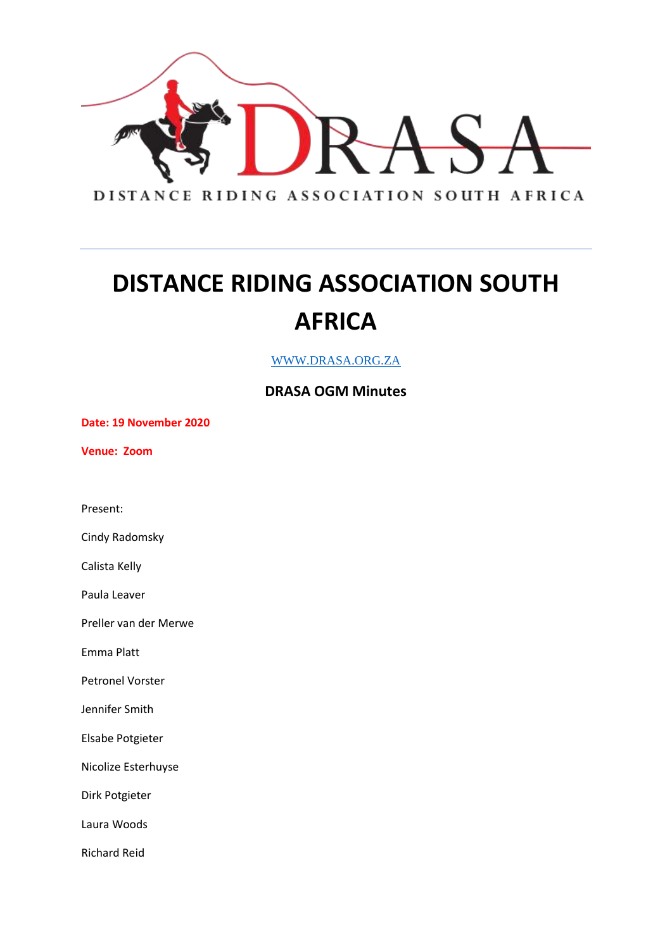

WWW.DRASA.ORG.ZA

#### **DRASA OGM Minutes**

**Date: 19 November 2020**

**Venue: Zoom**

Present:

Cindy Radomsky

Calista Kelly

Paula Leaver

Preller van der Merwe

Emma Platt

Petronel Vorster

Jennifer Smith

Elsabe Potgieter

Nicolize Esterhuyse

Dirk Potgieter

Laura Woods

Richard Reid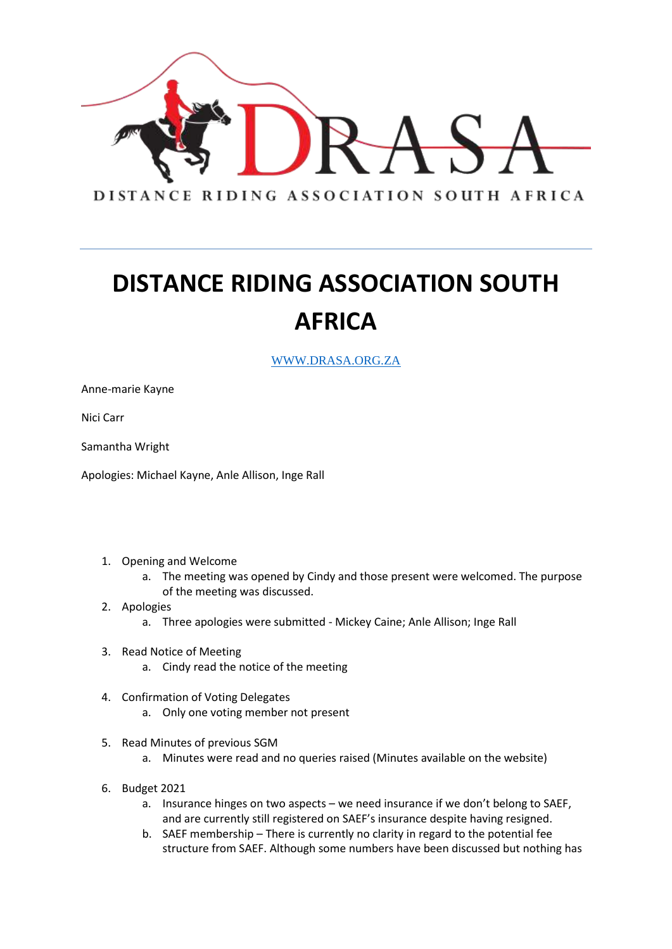

WWW.DRASA.ORG.ZA

Anne-marie Kayne

Nici Carr

Samantha Wright

Apologies: Michael Kayne, Anle Allison, Inge Rall

- 1. Opening and Welcome
	- a. The meeting was opened by Cindy and those present were welcomed. The purpose of the meeting was discussed.
- 2. Apologies
	- a. Three apologies were submitted Mickey Caine; Anle Allison; Inge Rall
- 3. Read Notice of Meeting
	- a. Cindy read the notice of the meeting
- 4. Confirmation of Voting Delegates a. Only one voting member not present
- 5. Read Minutes of previous SGM
	- a. Minutes were read and no queries raised (Minutes available on the website)
- 6. Budget 2021
	- a. Insurance hinges on two aspects we need insurance if we don't belong to SAEF, and are currently still registered on SAEF's insurance despite having resigned.
	- b. SAEF membership There is currently no clarity in regard to the potential fee structure from SAEF. Although some numbers have been discussed but nothing has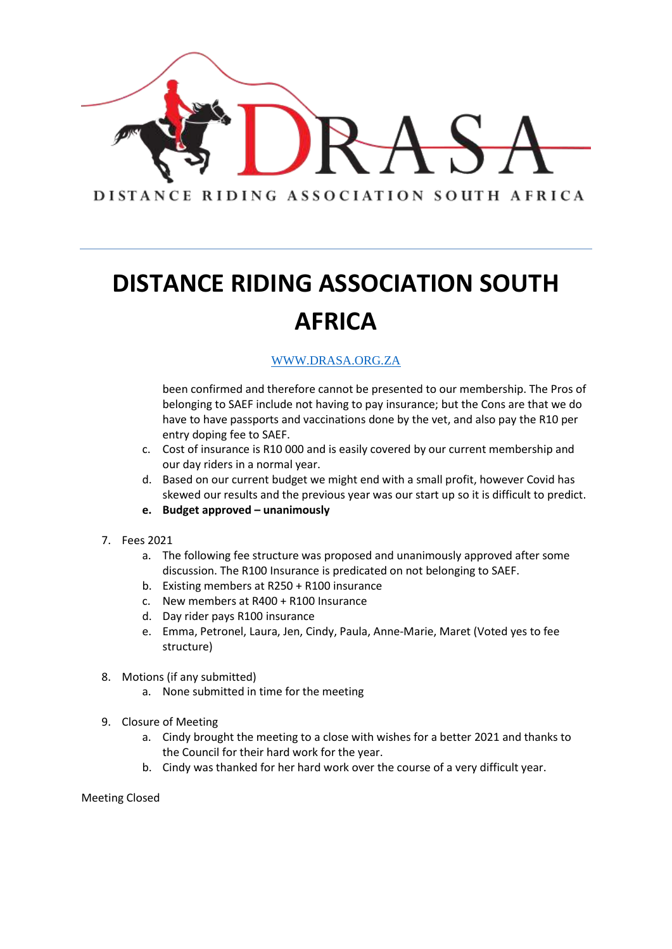

#### WWW.DRASA.ORG.ZA

been confirmed and therefore cannot be presented to our membership. The Pros of belonging to SAEF include not having to pay insurance; but the Cons are that we do have to have passports and vaccinations done by the vet, and also pay the R10 per entry doping fee to SAEF.

- c. Cost of insurance is R10 000 and is easily covered by our current membership and our day riders in a normal year.
- d. Based on our current budget we might end with a small profit, however Covid has skewed our results and the previous year was our start up so it is difficult to predict.
- **e. Budget approved – unanimously**
- 7. Fees 2021
	- a. The following fee structure was proposed and unanimously approved after some discussion. The R100 Insurance is predicated on not belonging to SAEF.
	- b. Existing members at R250 + R100 insurance
	- c. New members at R400 + R100 Insurance
	- d. Day rider pays R100 insurance
	- e. Emma, Petronel, Laura, Jen, Cindy, Paula, Anne-Marie, Maret (Voted yes to fee structure)
- 8. Motions (if any submitted)
	- a. None submitted in time for the meeting
- 9. Closure of Meeting
	- a. Cindy brought the meeting to a close with wishes for a better 2021 and thanks to the Council for their hard work for the year.
	- b. Cindy was thanked for her hard work over the course of a very difficult year.

Meeting Closed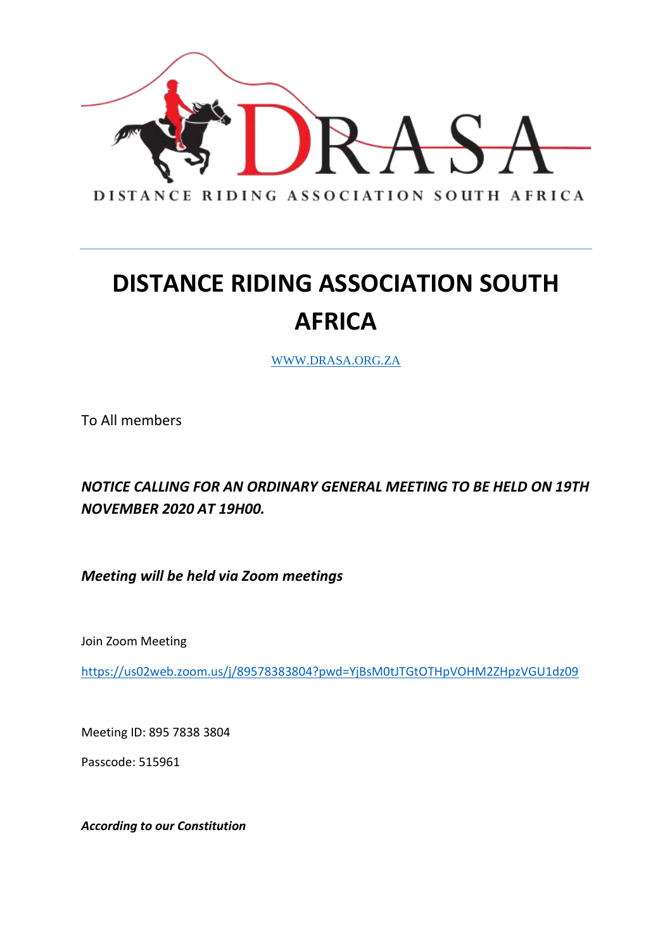

WWW.DRASA.ORG.ZA

To All members

*NOTICE CALLING FOR AN ORDINARY GENERAL MEETING TO BE HELD ON 19TH NOVEMBER 2020 AT 19H00.*

*Meeting will be held via Zoom meetings* 

Join Zoom Meeting

<https://us02web.zoom.us/j/89578383804?pwd=YjBsM0tJTGtOTHpVOHM2ZHpzVGU1dz09>

Meeting ID: 895 7838 3804

Passcode: 515961

*According to our Constitution*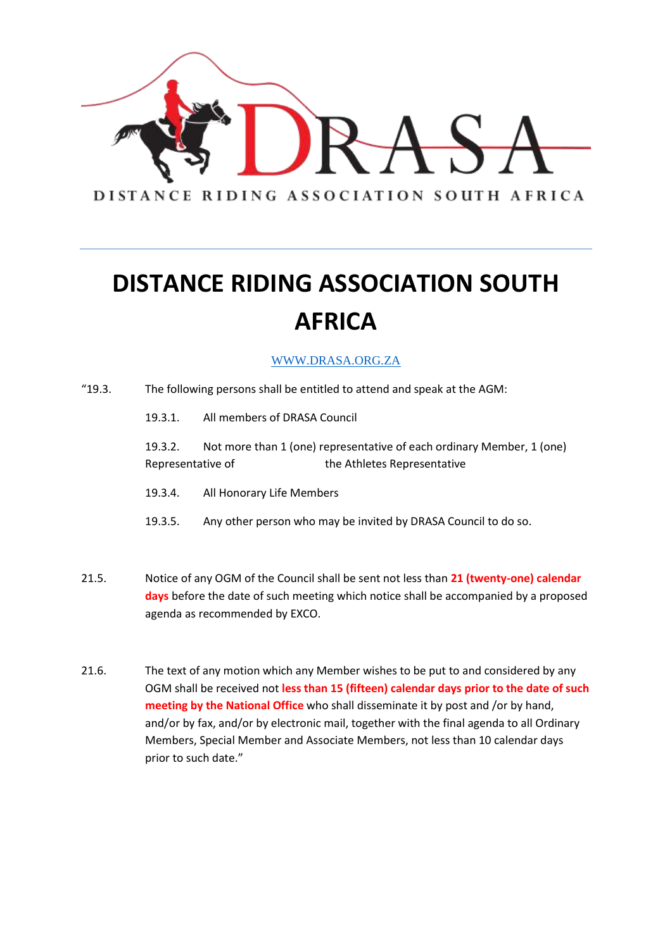

#### WWW.DRASA.ORG.ZA

- "19.3. The following persons shall be entitled to attend and speak at the AGM: 19.3.1. All members of DRASA Council 19.3.2. Not more than 1 (one) representative of each ordinary Member, 1 (one) Representative of the Athletes Representative 19.3.4. All Honorary Life Members 19.3.5. Any other person who may be invited by DRASA Council to do so. 21.5. Notice of any OGM of the Council shall be sent not less than **21 (twenty-one) calendar days** before the date of such meeting which notice shall be accompanied by a proposed agenda as recommended by EXCO. 21.6. The text of any motion which any Member wishes to be put to and considered by any
- OGM shall be received not **less than 15 (fifteen) calendar days prior to the date of such meeting by the National Office** who shall disseminate it by post and /or by hand, and/or by fax, and/or by electronic mail, together with the final agenda to all Ordinary Members, Special Member and Associate Members, not less than 10 calendar days prior to such date."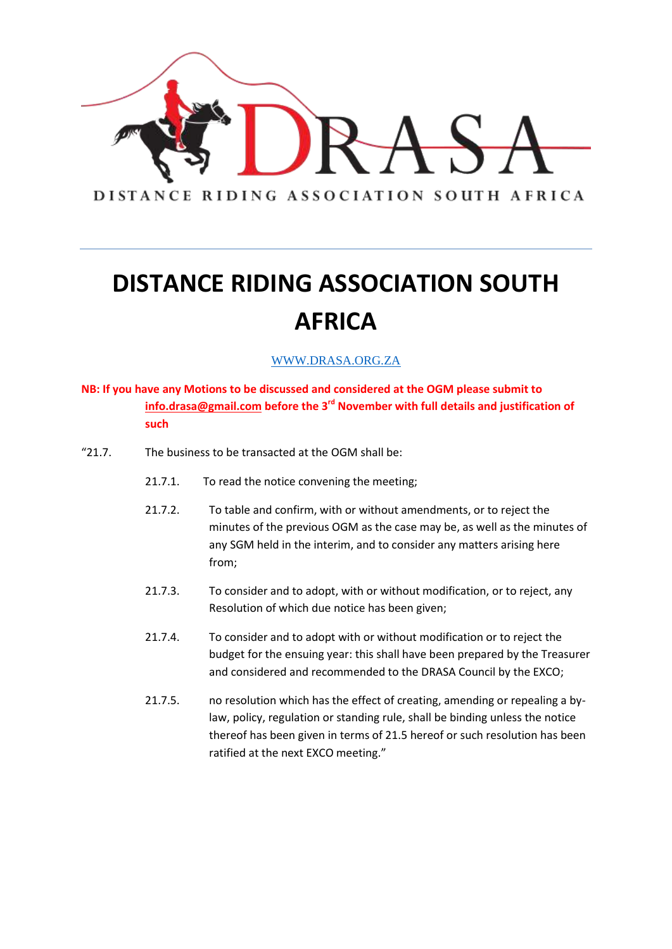

#### WWW.DRASA.ORG.ZA

#### **NB: If you have any Motions to be discussed and considered at the OGM please submit to [info.drasa@gmail.com](mailto:info.drasa@gmail.com) before the 3rd November with full details and justification of such**

- "21.7. The business to be transacted at the OGM shall be:
	- 21.7.1. To read the notice convening the meeting;
	- 21.7.2. To table and confirm, with or without amendments, or to reject the minutes of the previous OGM as the case may be, as well as the minutes of any SGM held in the interim, and to consider any matters arising here from;
	- 21.7.3. To consider and to adopt, with or without modification, or to reject, any Resolution of which due notice has been given;
	- 21.7.4. To consider and to adopt with or without modification or to reject the budget for the ensuing year: this shall have been prepared by the Treasurer and considered and recommended to the DRASA Council by the EXCO;
	- 21.7.5. no resolution which has the effect of creating, amending or repealing a bylaw, policy, regulation or standing rule, shall be binding unless the notice thereof has been given in terms of 21.5 hereof or such resolution has been ratified at the next EXCO meeting."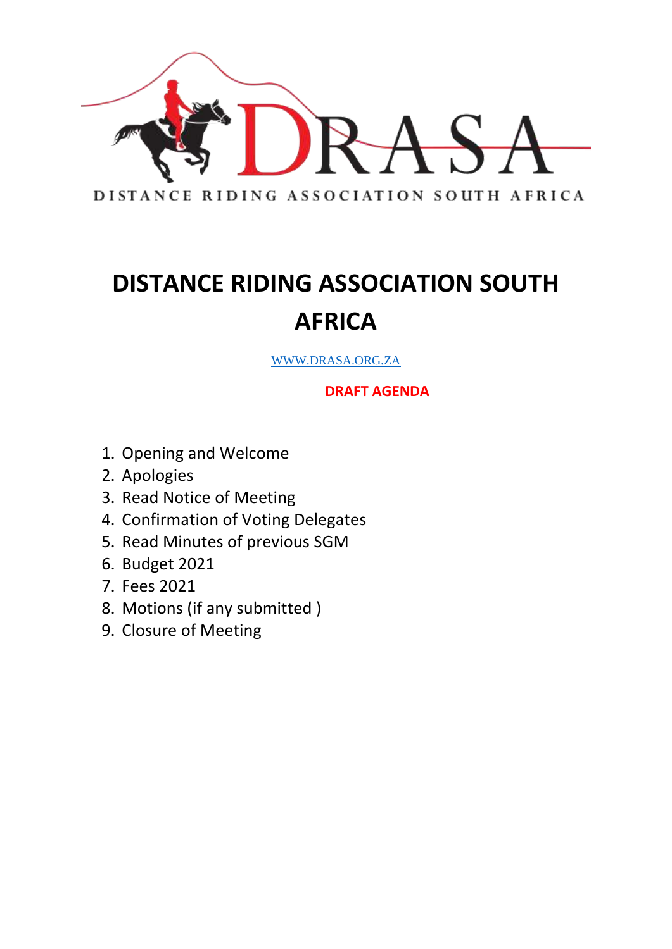

WWW.DRASA.ORG.ZA

**DRAFT AGENDA**

- 1. Opening and Welcome
- 2. Apologies
- 3. Read Notice of Meeting
- 4. Confirmation of Voting Delegates
- 5. Read Minutes of previous SGM
- 6. Budget 2021
- 7. Fees 2021
- 8. Motions (if any submitted )
- 9. Closure of Meeting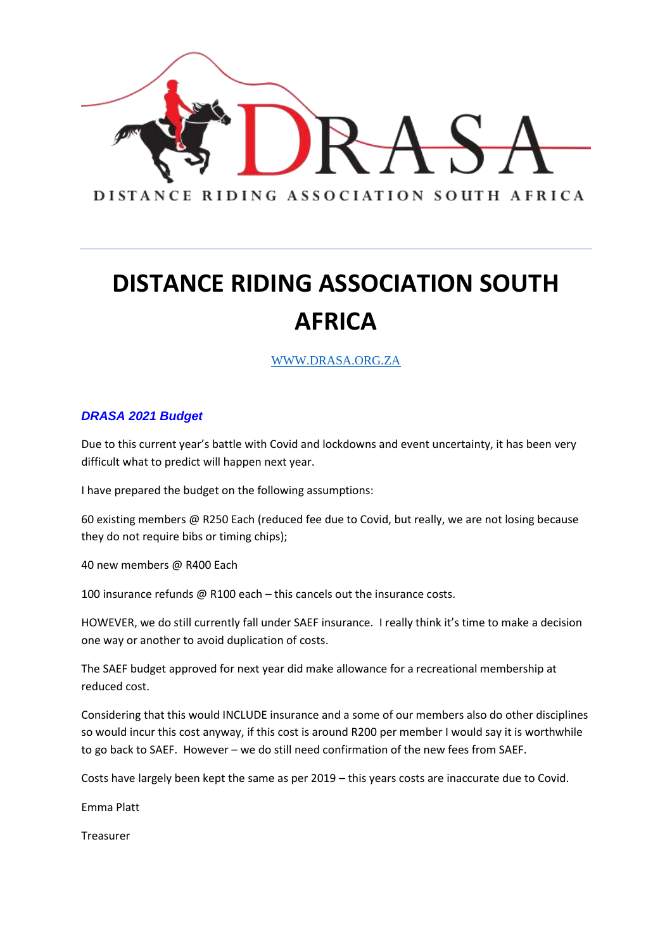

WWW.DRASA.ORG.ZA

#### *DRASA 2021 Budget*

Due to this current year's battle with Covid and lockdowns and event uncertainty, it has been very difficult what to predict will happen next year.

I have prepared the budget on the following assumptions:

60 existing members @ R250 Each (reduced fee due to Covid, but really, we are not losing because they do not require bibs or timing chips);

40 new members @ R400 Each

100 insurance refunds @ R100 each – this cancels out the insurance costs.

HOWEVER, we do still currently fall under SAEF insurance. I really think it's time to make a decision one way or another to avoid duplication of costs.

The SAEF budget approved for next year did make allowance for a recreational membership at reduced cost.

Considering that this would INCLUDE insurance and a some of our members also do other disciplines so would incur this cost anyway, if this cost is around R200 per member I would say it is worthwhile to go back to SAEF. However – we do still need confirmation of the new fees from SAEF.

Costs have largely been kept the same as per 2019 – this years costs are inaccurate due to Covid.

Emma Platt

Treasurer